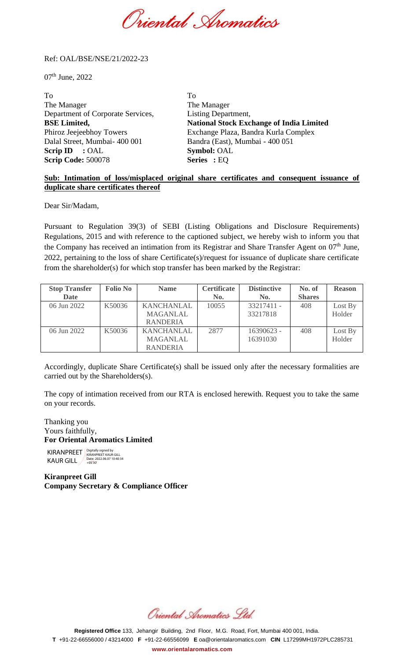Oriental Spomatics

## Ref: OAL/BSE/NSE/21/2022-23

 $07<sup>th</sup>$  June, 2022

To To The Manager The Manager Department of Corporate Services, Listing Department, **BSE Limited, National Stock Exchange of India Limited**  Phiroz Jeejeebhoy Towers Exchange Plaza, Bandra Kurla Complex Dalal Street, Mumbai- 400 001 Bandra (East), Mumbai - 400 051 **Scrip ID** : OAL **Symbol:** OAL **Scrip Code:** 500078 **Series :** EQ

## **Sub: Intimation of loss/misplaced original share certificates and consequent issuance of duplicate share certificates thereof**

Dear Sir/Madam,

Pursuant to Regulation 39(3) of SEBI (Listing Obligations and Disclosure Requirements) Regulations, 2015 and with reference to the captioned subject, we hereby wish to inform you that the Company has received an intimation from its Registrar and Share Transfer Agent on  $07<sup>th</sup>$  June, 2022, pertaining to the loss of share Certificate(s)/request for issuance of duplicate share certificate from the shareholder(s) for which stop transfer has been marked by the Registrar:

| <b>Stop Transfer</b> | <b>Folio No</b> | <b>Name</b>       | <b>Certificate</b> | <b>Distinctive</b> | No. of        | <b>Reason</b> |
|----------------------|-----------------|-------------------|--------------------|--------------------|---------------|---------------|
| <b>Date</b>          |                 |                   | No.                | No.                | <b>Shares</b> |               |
| 06 Jun 2022          | K50036          | <b>KANCHANLAL</b> | 10055              | 33217411 -         | 408           | Lost By       |
|                      |                 | <b>MAGANLAL</b>   |                    | 33217818           |               | Holder        |
|                      |                 | <b>RANDERIA</b>   |                    |                    |               |               |
| 06 Jun 2022          | K50036          | <b>KANCHANLAL</b> | 2877               | 16390623 -         | 408           | Lost By       |
|                      |                 | <b>MAGANLAL</b>   |                    | 16391030           |               | Holder        |
|                      |                 | <b>RANDERIA</b>   |                    |                    |               |               |

Accordingly, duplicate Share Certificate(s) shall be issued only after the necessary formalities are carried out by the Shareholders(s).

The copy of intimation received from our RTA is enclosed herewith. Request you to take the same on your records.

Thanking you Yours faithfully, **For Oriental Aromatics Limited**

KIRANPREET Rigitally signed by KAUR GILL 2022.06.07 10:40:34

**Kiranpreet Gill Company Secretary & Compliance Officer**

Oriental Aromatics Std.

**Registered Office** 133, Jehangir Building, 2nd Floor, M.G. Road, Fort, Mumbai 400 001, India. **T** +91-22-66556000 / 43214000 **F** +91-22-66556099 **E** [oa@orientalaromatics.com](mailto:oa@orlentalaromatics.com) **CIN** L17299MH1972PLC285731 **[www.orientalaromatics.com](http://www.orlentalaromatlcs.com/)**